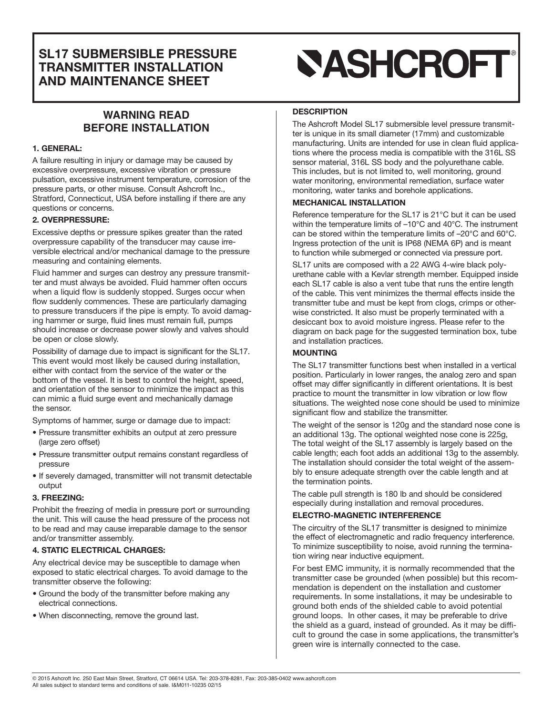# **SL17 SUBMERSIBLE PRESSURE TRANSMITTER INSTALLATION AND MAINTENANCE SHEET**

# **WARNING READ BEFORE INSTALLATION**

### **1. GENERAL:**

A failure resulting in injury or damage may be caused by excessive overpressure, excessive vibration or pressure pulsation, excessive instrument temperature, corrosion of the pressure parts, or other misuse. Consult Ashcroft Inc., Stratford, Connecticut, USA before installing if there are any questions or concerns.

### **2. OVERPRESSURE:**

Excessive depths or pressure spikes greater than the rated overpressure capability of the transducer may cause irreversible electrical and/or mechanical damage to the pressure measuring and containing elements.

Fluid hammer and surges can destroy any pressure transmitter and must always be avoided. Fluid hammer often occurs when a liquid flow is suddenly stopped. Surges occur when flow suddenly commences. These are particularly damaging to pressure transducers if the pipe is empty. To avoid damaging hammer or surge, fluid lines must remain full, pumps should increase or decrease power slowly and valves should be open or close slowly.

Possibility of damage due to impact is significant for the SL17. This event would most likely be caused during installation, either with contact from the service of the water or the bottom of the vessel. It is best to control the height, speed, and orientation of the sensor to minimize the impact as this can mimic a fluid surge event and mechanically damage the sensor.

Symptoms of hammer, surge or damage due to impact:

- Pressure transmitter exhibits an output at zero pressure (large zero offset)
- Pressure transmitter output remains constant regardless of pressure
- If severely damaged, transmitter will not transmit detectable output

### **3. FREEZING:**

Prohibit the freezing of media in pressure port or surrounding the unit. This will cause the head pressure of the process not to be read and may cause irreparable damage to the sensor and/or transmitter assembly.

### **4. STATIC ELECTRICAL CHARGES:**

Any electrical device may be susceptible to damage when exposed to static electrical charges. To avoid damage to the transmitter observe the following:

- Ground the body of the transmitter before making any electrical connections.
- When disconnecting, remove the ground last.

# **SASHCROFT®**

# **DESCRIPTION**

The Ashcroft Model SL17 submersible level pressure transmitter is unique in its small diameter (17mm) and customizable manufacturing. Units are intended for use in clean fluid applications where the process media is compatible with the 316L SS sensor material, 316L SS body and the polyurethane cable. This includes, but is not limited to, well monitoring, ground water monitoring, environmental remediation, surface water monitoring, water tanks and borehole applications.

### **MECHANICAL INSTALLATION**

Reference temperature for the SL17 is 21°C but it can be used within the temperature limits of –10°C and 40°C. The instrument can be stored within the temperature limits of –20°C and 60°C. Ingress protection of the unit is IP68 (NEMA 6P) and is meant to function while submerged or connected via pressure port.

SL17 units are composed with a 22 AWG 4-wire black polyurethane cable with a Kevlar strength member. Equipped inside each SL17 cable is also a vent tube that runs the entire length of the cable. This vent minimizes the thermal effects inside the transmitter tube and must be kept from clogs, crimps or otherwise constricted. It also must be properly terminated with a desiccant box to avoid moisture ingress. Please refer to the diagram on back page for the suggested termination box, tube and installation practices.

## **MOUNTING**

The SL17 transmitter functions best when installed in a vertical position. Particularly in lower ranges, the analog zero and span offset may differ significantly in different orientations. It is best practice to mount the transmitter in low vibration or low flow situations. The weighted nose cone should be used to minimize significant flow and stabilize the transmitter.

The weight of the sensor is 120g and the standard nose cone is an additional 13g. The optional weighted nose cone is 225g, The total weight of the SL17 assembly is largely based on the cable length; each foot adds an additional 13g to the assembly. The installation should consider the total weight of the assembly to ensure adequate strength over the cable length and at the termination points.

The cable pull strength is 180 lb and should be considered especially during installation and removal procedures.

# **ELECTRO-MAGNETIC INTERFERENCE**

The circuitry of the SL17 transmitter is designed to minimize the effect of electromagnetic and radio frequency interference. To minimize susceptibility to noise, avoid running the termination wiring near inductive equipment.

For best EMC immunity, it is normally recommended that the transmitter case be grounded (when possible) but this recommendation is dependent on the installation and customer requirements. In some installations, it may be undesirable to ground both ends of the shielded cable to avoid potential ground loops. In other cases, it may be preferable to drive the shield as a guard, instead of grounded. As it may be difficult to ground the case in some applications, the transmitter's green wire is internally connected to the case.